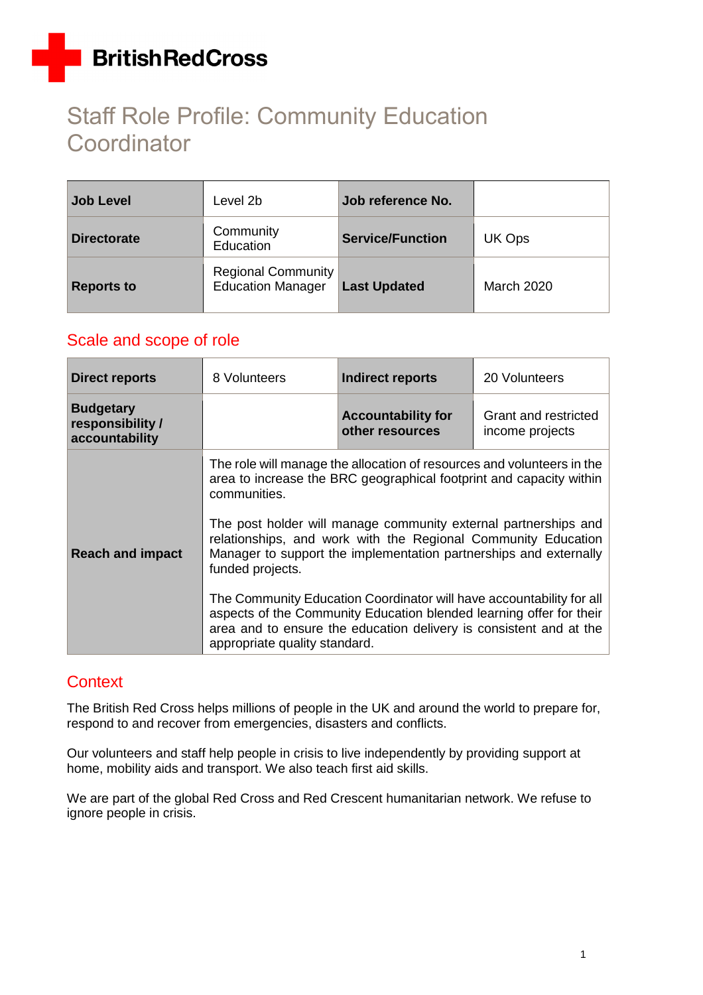# Staff Role Profile: Community Education **Coordinator**

| <b>Job Level</b>   | Level 2b                                              | Job reference No.       |                   |
|--------------------|-------------------------------------------------------|-------------------------|-------------------|
| <b>Directorate</b> | Community<br>Education                                | <b>Service/Function</b> | UK Ops            |
| <b>Reports to</b>  | <b>Regional Community</b><br><b>Education Manager</b> | <b>Last Updated</b>     | <b>March 2020</b> |

### Scale and scope of role

| <b>Direct reports</b>                                  | 8 Volunteers                                                      | <b>Indirect reports</b>                                                                                                                                                                                                                                                                                                                                                                                                                                                                                                                                                     | 20 Volunteers                           |
|--------------------------------------------------------|-------------------------------------------------------------------|-----------------------------------------------------------------------------------------------------------------------------------------------------------------------------------------------------------------------------------------------------------------------------------------------------------------------------------------------------------------------------------------------------------------------------------------------------------------------------------------------------------------------------------------------------------------------------|-----------------------------------------|
| <b>Budgetary</b><br>responsibility /<br>accountability |                                                                   | <b>Accountability for</b><br>other resources                                                                                                                                                                                                                                                                                                                                                                                                                                                                                                                                | Grant and restricted<br>income projects |
| <b>Reach and impact</b>                                | communities.<br>funded projects.<br>appropriate quality standard. | The role will manage the allocation of resources and volunteers in the<br>area to increase the BRC geographical footprint and capacity within<br>The post holder will manage community external partnerships and<br>relationships, and work with the Regional Community Education<br>Manager to support the implementation partnerships and externally<br>The Community Education Coordinator will have accountability for all<br>aspects of the Community Education blended learning offer for their<br>area and to ensure the education delivery is consistent and at the |                                         |

### **Context**

The British Red Cross helps millions of people in the UK and around the world to prepare for, respond to and recover from emergencies, disasters and conflicts.

Our volunteers and staff help people in crisis to live independently by providing support at home, mobility aids and transport. We also teach first aid skills.

We are part of the global Red Cross and Red Crescent humanitarian network. We refuse to ignore people in crisis.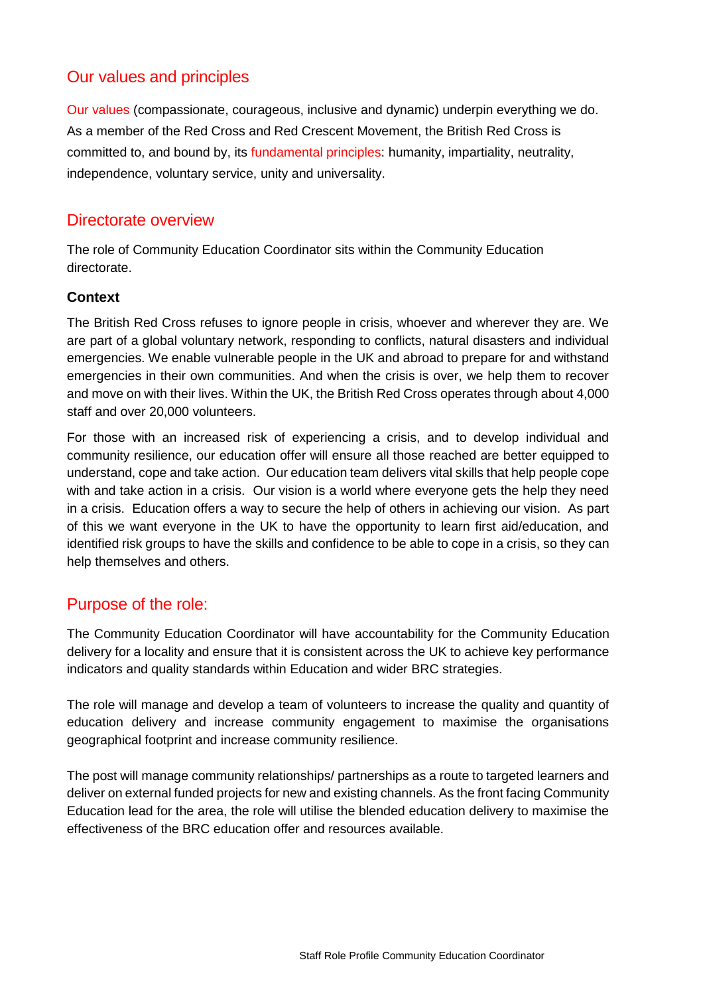### Our values and principles

[Our values](http://www.redcross.org.uk/About-us/Who-we-are/Our-values) (compassionate, courageous, inclusive and dynamic) underpin everything we do. As a member of the Red Cross and Red Crescent Movement, the British Red Cross is committed to, and bound by, its [fundamental principles:](http://www.redcross.org.uk/principles) humanity, impartiality, neutrality, independence, voluntary service, unity and universality.

### Directorate overview

The role of Community Education Coordinator sits within the Community Education directorate.

### **Context**

The British Red Cross refuses to ignore people in crisis, whoever and wherever they are. We are part of a global voluntary network, responding to conflicts, natural disasters and individual emergencies. We enable vulnerable people in the UK and abroad to prepare for and withstand emergencies in their own communities. And when the crisis is over, we help them to recover and move on with their lives. Within the UK, the British Red Cross operates through about 4,000 staff and over 20,000 volunteers.

For those with an increased risk of experiencing a crisis, and to develop individual and community resilience, our education offer will ensure all those reached are better equipped to understand, cope and take action. Our education team delivers vital skills that help people cope with and take action in a crisis. Our vision is a world where everyone gets the help they need in a crisis. Education offers a way to secure the help of others in achieving our vision. As part of this we want everyone in the UK to have the opportunity to learn first aid/education, and identified risk groups to have the skills and confidence to be able to cope in a crisis, so they can help themselves and others.

### Purpose of the role:

The Community Education Coordinator will have accountability for the Community Education delivery for a locality and ensure that it is consistent across the UK to achieve key performance indicators and quality standards within Education and wider BRC strategies.

The role will manage and develop a team of volunteers to increase the quality and quantity of education delivery and increase community engagement to maximise the organisations geographical footprint and increase community resilience.

The post will manage community relationships/ partnerships as a route to targeted learners and deliver on external funded projects for new and existing channels. As the front facing Community Education lead for the area, the role will utilise the blended education delivery to maximise the effectiveness of the BRC education offer and resources available.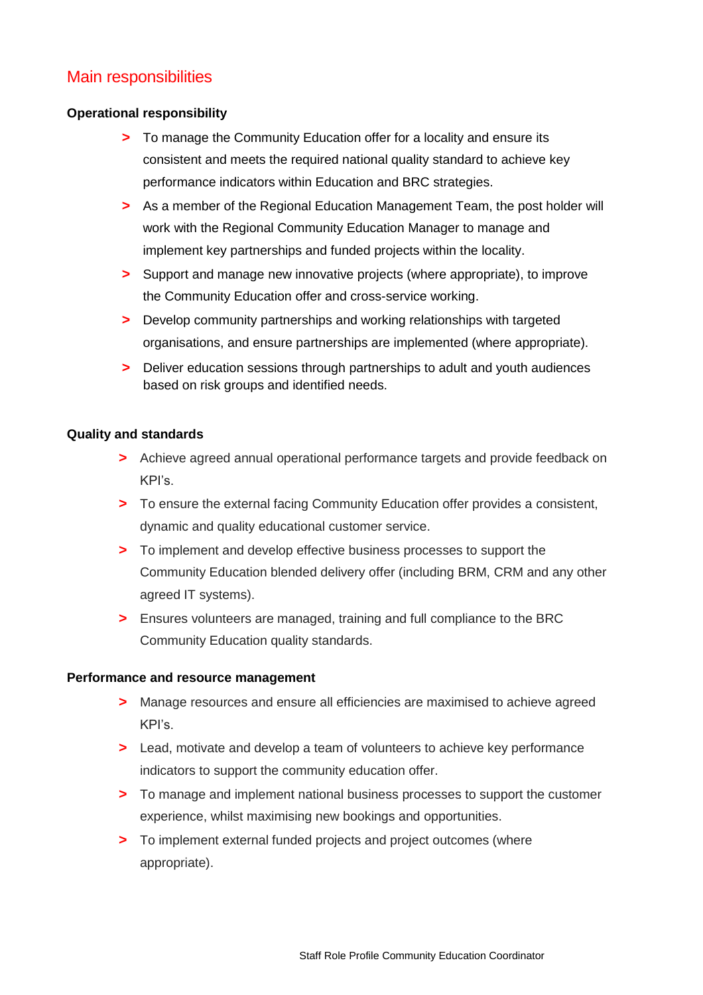### Main responsibilities

#### **Operational responsibility**

- **>** To manage the Community Education offer for a locality and ensure its consistent and meets the required national quality standard to achieve key performance indicators within Education and BRC strategies.
- **>** As a member of the Regional Education Management Team, the post holder will work with the Regional Community Education Manager to manage and implement key partnerships and funded projects within the locality.
- **>** Support and manage new innovative projects (where appropriate), to improve the Community Education offer and cross-service working.
- **>** Develop community partnerships and working relationships with targeted organisations, and ensure partnerships are implemented (where appropriate).
- **>** Deliver education sessions through partnerships to adult and youth audiences based on risk groups and identified needs.

#### **Quality and standards**

- **>** Achieve agreed annual operational performance targets and provide feedback on KPI's.
- **>** To ensure the external facing Community Education offer provides a consistent, dynamic and quality educational customer service.
- **>** To implement and develop effective business processes to support the Community Education blended delivery offer (including BRM, CRM and any other agreed IT systems).
- **>** Ensures volunteers are managed, training and full compliance to the BRC Community Education quality standards.

#### **Performance and resource management**

- **>** Manage resources and ensure all efficiencies are maximised to achieve agreed KPI's.
- **>** Lead, motivate and develop a team of volunteers to achieve key performance indicators to support the community education offer.
- **>** To manage and implement national business processes to support the customer experience, whilst maximising new bookings and opportunities.
- **>** To implement external funded projects and project outcomes (where appropriate).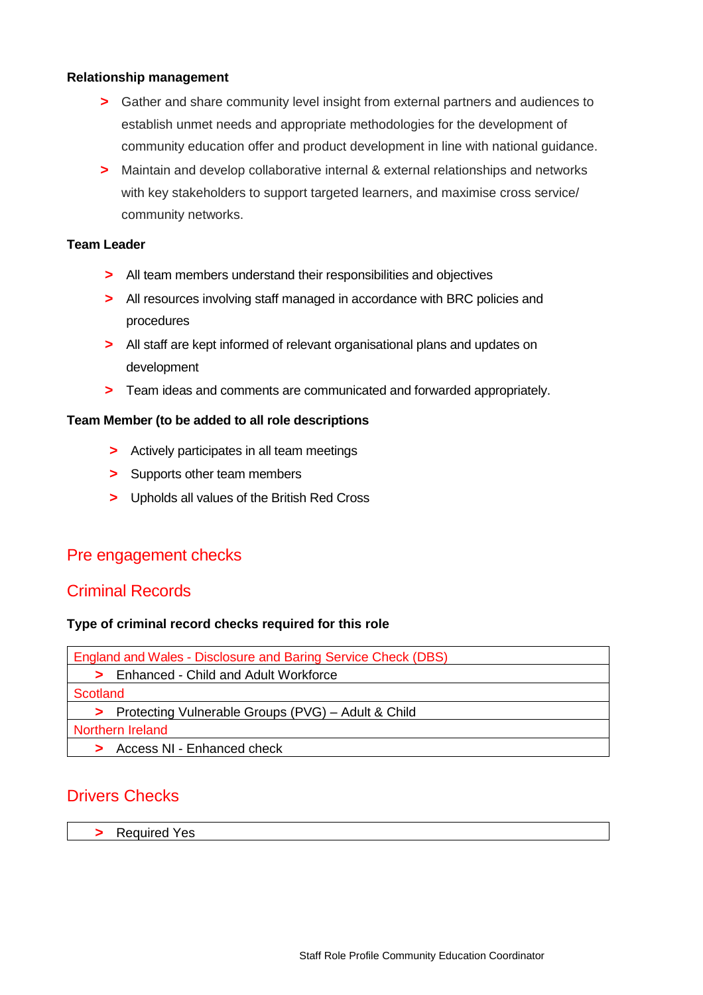#### **Relationship management**

- **>** Gather and share community level insight from external partners and audiences to establish unmet needs and appropriate methodologies for the development of community education offer and product development in line with national guidance.
- **>** Maintain and develop collaborative internal & external relationships and networks with key stakeholders to support targeted learners, and maximise cross service/ community networks.

#### **Team Leader**

- **>** All team members understand their responsibilities and objectives
- **>** All resources involving staff managed in accordance with BRC policies and procedures
- **>** All staff are kept informed of relevant organisational plans and updates on development
- **>** Team ideas and comments are communicated and forwarded appropriately.

#### **Team Member (to be added to all role descriptions**

- **>** Actively participates in all team meetings
- **>** Supports other team members
- **>** Upholds all values of the British Red Cross

### Pre engagement checks

### Criminal Records

#### **Type of criminal record checks required for this role**

| England and Wales - Disclosure and Baring Service Check (DBS) |
|---------------------------------------------------------------|
| Enhanced - Child and Adult Workforce                          |
| <b>Scotland</b>                                               |
| > Protecting Vulnerable Groups (PVG) – Adult & Child          |
| Northern Ireland                                              |
| Access NI - Enhanced check                                    |

### Drivers Checks

**>** Required Yes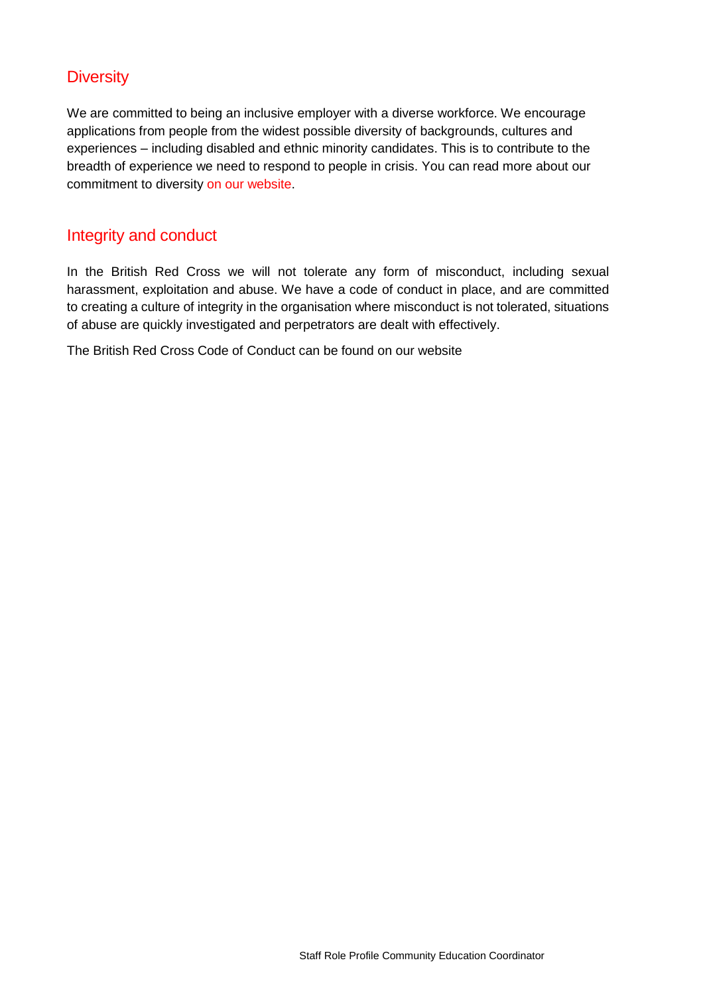### **Diversity**

We are committed to being an inclusive employer with a diverse workforce. We encourage applications from people from the widest possible diversity of backgrounds, cultures and experiences – including disabled and ethnic minority candidates. This is to contribute to the breadth of experience we need to respond to people in crisis. You can read more about our commitment to diversity [on our website.](http://www.redcross.org.uk/About-us/Jobs/UK/Diversity-in-recruitment)

### Integrity and conduct

In the British Red Cross we will not tolerate any form of misconduct, including sexual harassment, exploitation and abuse. We have a code of conduct in place, and are committed to creating a culture of integrity in the organisation where misconduct is not tolerated, situations of abuse are quickly investigated and perpetrators are dealt with effectively.

The British Red Cross Code of Conduct can be found on our website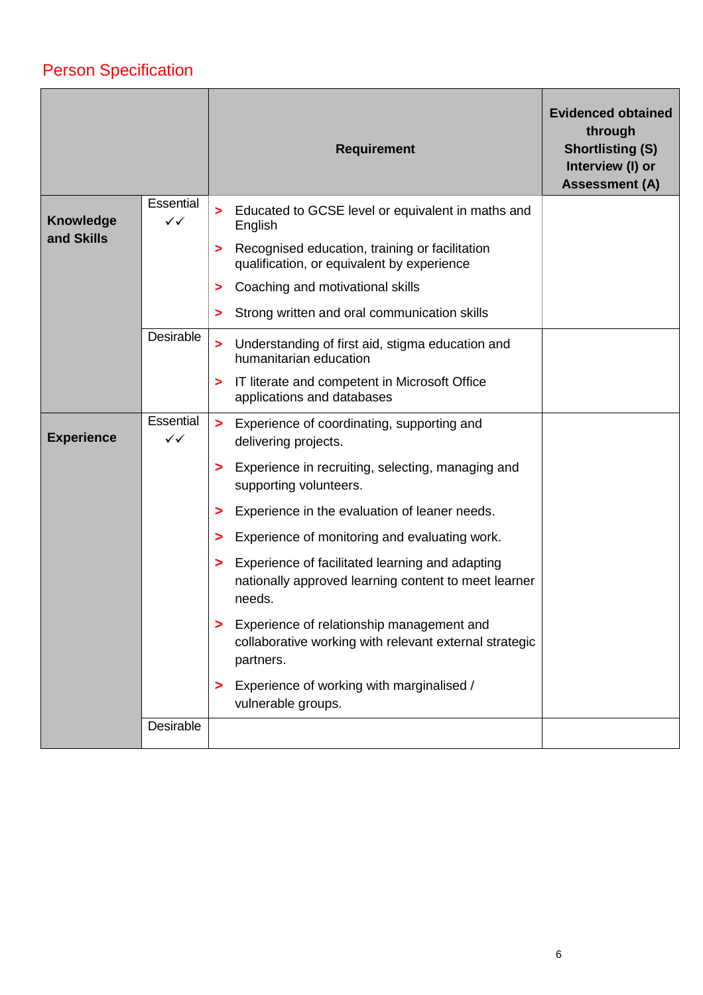## Person Specification

|                                |                           |                                  | <b>Requirement</b>                                                                                      | <b>Evidenced obtained</b><br>through<br><b>Shortlisting (S)</b><br>Interview (I) or<br><b>Assessment (A)</b> |
|--------------------------------|---------------------------|----------------------------------|---------------------------------------------------------------------------------------------------------|--------------------------------------------------------------------------------------------------------------|
| <b>Knowledge</b><br>and Skills | Essential<br>$\checkmark$ | $\blacktriangleright$<br>English | Educated to GCSE level or equivalent in maths and                                                       |                                                                                                              |
|                                |                           | >                                | Recognised education, training or facilitation<br>qualification, or equivalent by experience            |                                                                                                              |
|                                |                           | >                                | Coaching and motivational skills                                                                        |                                                                                                              |
|                                |                           | >                                | Strong written and oral communication skills                                                            |                                                                                                              |
|                                | Desirable                 | $\blacktriangleright$            | Understanding of first aid, stigma education and<br>humanitarian education                              |                                                                                                              |
|                                |                           | >                                | IT literate and competent in Microsoft Office<br>applications and databases                             |                                                                                                              |
| <b>Experience</b>              | Essential<br>$\checkmark$ | $\geq$                           | Experience of coordinating, supporting and<br>delivering projects.                                      |                                                                                                              |
|                                |                           | >                                | Experience in recruiting, selecting, managing and<br>supporting volunteers.                             |                                                                                                              |
|                                |                           | >                                | Experience in the evaluation of leaner needs.                                                           |                                                                                                              |
|                                |                           | >                                | Experience of monitoring and evaluating work.                                                           |                                                                                                              |
|                                |                           | ><br>needs.                      | Experience of facilitated learning and adapting<br>nationally approved learning content to meet learner |                                                                                                              |
|                                |                           | partners.                        | Experience of relationship management and<br>collaborative working with relevant external strategic     |                                                                                                              |
|                                |                           | >                                | Experience of working with marginalised /<br>vulnerable groups.                                         |                                                                                                              |
|                                | Desirable                 |                                  |                                                                                                         |                                                                                                              |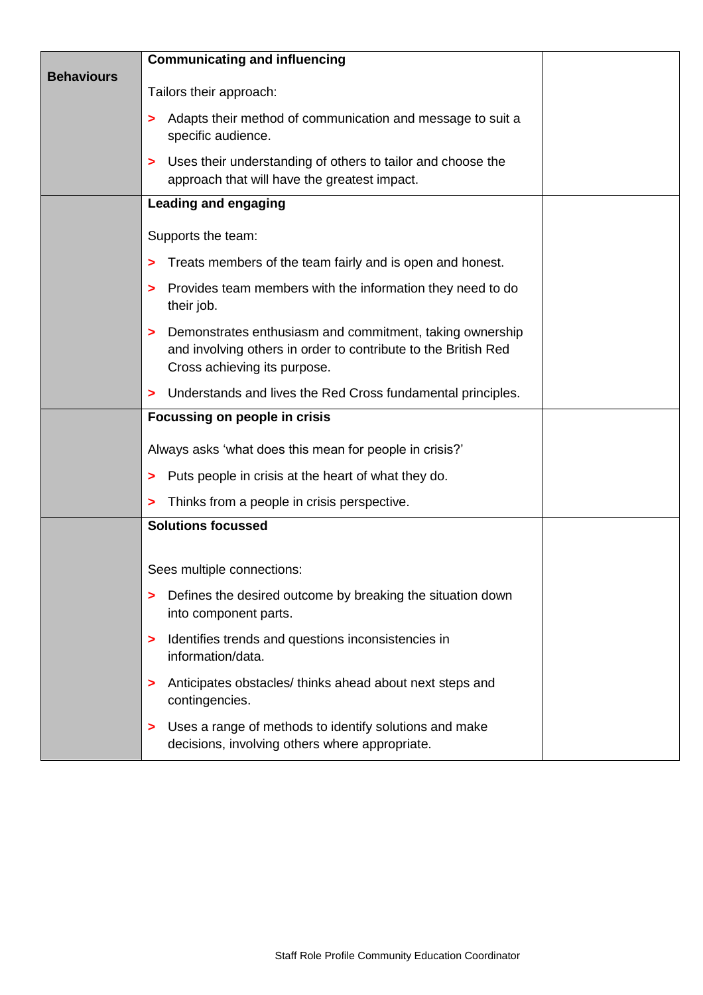|                   | <b>Communicating and influencing</b>                                                                                                                       |  |
|-------------------|------------------------------------------------------------------------------------------------------------------------------------------------------------|--|
| <b>Behaviours</b> | Tailors their approach:                                                                                                                                    |  |
|                   | Adapts their method of communication and message to suit a<br>specific audience.                                                                           |  |
|                   | Uses their understanding of others to tailor and choose the<br>><br>approach that will have the greatest impact.                                           |  |
|                   | <b>Leading and engaging</b>                                                                                                                                |  |
|                   | Supports the team:                                                                                                                                         |  |
|                   | Treats members of the team fairly and is open and honest.<br>>                                                                                             |  |
|                   | Provides team members with the information they need to do<br>><br>their job.                                                                              |  |
|                   | Demonstrates enthusiasm and commitment, taking ownership<br>and involving others in order to contribute to the British Red<br>Cross achieving its purpose. |  |
|                   | Understands and lives the Red Cross fundamental principles.<br>>                                                                                           |  |
|                   | Focussing on people in crisis                                                                                                                              |  |
|                   | Always asks 'what does this mean for people in crisis?'                                                                                                    |  |
|                   | Puts people in crisis at the heart of what they do.<br>>                                                                                                   |  |
|                   | Thinks from a people in crisis perspective.                                                                                                                |  |
|                   | <b>Solutions focussed</b>                                                                                                                                  |  |
|                   | Sees multiple connections:                                                                                                                                 |  |
|                   | Defines the desired outcome by breaking the situation down<br>><br>into component parts.                                                                   |  |
|                   | Identifies trends and questions inconsistencies in<br>><br>information/data.                                                                               |  |
|                   | Anticipates obstacles/thinks ahead about next steps and<br>><br>contingencies.                                                                             |  |
|                   | Uses a range of methods to identify solutions and make<br>><br>decisions, involving others where appropriate.                                              |  |